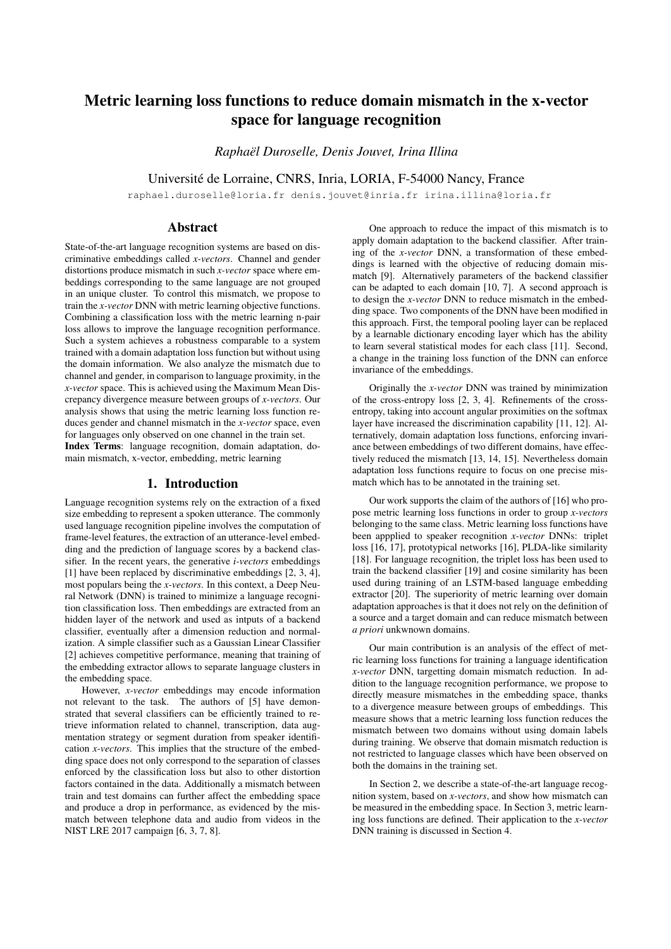# Metric learning loss functions to reduce domain mismatch in the x-vector space for language recognition

*Raphael Duroselle, Denis Jouvet, Irina Illina ¨*

Universite de Lorraine, CNRS, Inria, LORIA, F-54000 Nancy, France ´

raphael.duroselle@loria.fr denis.jouvet@inria.fr irina.illina@loria.fr

## Abstract

State-of-the-art language recognition systems are based on discriminative embeddings called *x-vectors*. Channel and gender distortions produce mismatch in such *x-vector* space where embeddings corresponding to the same language are not grouped in an unique cluster. To control this mismatch, we propose to train the *x-vector* DNN with metric learning objective functions. Combining a classification loss with the metric learning n-pair loss allows to improve the language recognition performance. Such a system achieves a robustness comparable to a system trained with a domain adaptation loss function but without using the domain information. We also analyze the mismatch due to channel and gender, in comparison to language proximity, in the *x-vector* space. This is achieved using the Maximum Mean Discrepancy divergence measure between groups of *x-vectors*. Our analysis shows that using the metric learning loss function reduces gender and channel mismatch in the *x-vector* space, even for languages only observed on one channel in the train set. Index Terms: language recognition, domain adaptation, domain mismatch, x-vector, embedding, metric learning

### 1. Introduction

Language recognition systems rely on the extraction of a fixed size embedding to represent a spoken utterance. The commonly used language recognition pipeline involves the computation of frame-level features, the extraction of an utterance-level embedding and the prediction of language scores by a backend classifier. In the recent years, the generative *i-vectors* embeddings [1] have been replaced by discriminative embeddings [2, 3, 4], most populars being the *x-vectors*. In this context, a Deep Neural Network (DNN) is trained to minimize a language recognition classification loss. Then embeddings are extracted from an hidden layer of the network and used as intputs of a backend classifier, eventually after a dimension reduction and normalization. A simple classifier such as a Gaussian Linear Classifier [2] achieves competitive performance, meaning that training of the embedding extractor allows to separate language clusters in the embedding space.

However, *x-vector* embeddings may encode information not relevant to the task. The authors of [5] have demonstrated that several classifiers can be efficiently trained to retrieve information related to channel, transcription, data augmentation strategy or segment duration from speaker identification *x-vectors*. This implies that the structure of the embedding space does not only correspond to the separation of classes enforced by the classification loss but also to other distortion factors contained in the data. Additionally a mismatch between train and test domains can further affect the embedding space and produce a drop in performance, as evidenced by the mismatch between telephone data and audio from videos in the NIST LRE 2017 campaign [6, 3, 7, 8].

One approach to reduce the impact of this mismatch is to apply domain adaptation to the backend classifier. After training of the *x-vector* DNN, a transformation of these embeddings is learned with the objective of reducing domain mismatch [9]. Alternatively parameters of the backend classifier can be adapted to each domain [10, 7]. A second approach is to design the *x-vector* DNN to reduce mismatch in the embedding space. Two components of the DNN have been modified in this approach. First, the temporal pooling layer can be replaced by a learnable dictionary encoding layer which has the ability to learn several statistical modes for each class [11]. Second, a change in the training loss function of the DNN can enforce invariance of the embeddings.

Originally the *x-vector* DNN was trained by minimization of the cross-entropy loss [2, 3, 4]. Refinements of the crossentropy, taking into account angular proximities on the softmax layer have increased the discrimination capability [11, 12]. Alternatively, domain adaptation loss functions, enforcing invariance between embeddings of two different domains, have effectively reduced the mismatch [13, 14, 15]. Nevertheless domain adaptation loss functions require to focus on one precise mismatch which has to be annotated in the training set.

Our work supports the claim of the authors of [16] who propose metric learning loss functions in order to group *x-vectors* belonging to the same class. Metric learning loss functions have been appplied to speaker recognition *x-vector* DNNs: triplet loss [16, 17], prototypical networks [16], PLDA-like similarity [18]. For language recognition, the triplet loss has been used to train the backend classifier [19] and cosine similarity has been used during training of an LSTM-based language embedding extractor [20]. The superiority of metric learning over domain adaptation approaches is that it does not rely on the definition of a source and a target domain and can reduce mismatch between *a priori* unkwnown domains.

Our main contribution is an analysis of the effect of metric learning loss functions for training a language identification *x-vector* DNN, targetting domain mismatch reduction. In addition to the language recognition performance, we propose to directly measure mismatches in the embedding space, thanks to a divergence measure between groups of embeddings. This measure shows that a metric learning loss function reduces the mismatch between two domains without using domain labels during training. We observe that domain mismatch reduction is not restricted to language classes which have been observed on both the domains in the training set.

In Section 2, we describe a state-of-the-art language recognition system, based on *x-vectors*, and show how mismatch can be measured in the embedding space. In Section 3, metric learning loss functions are defined. Their application to the *x-vector* DNN training is discussed in Section 4.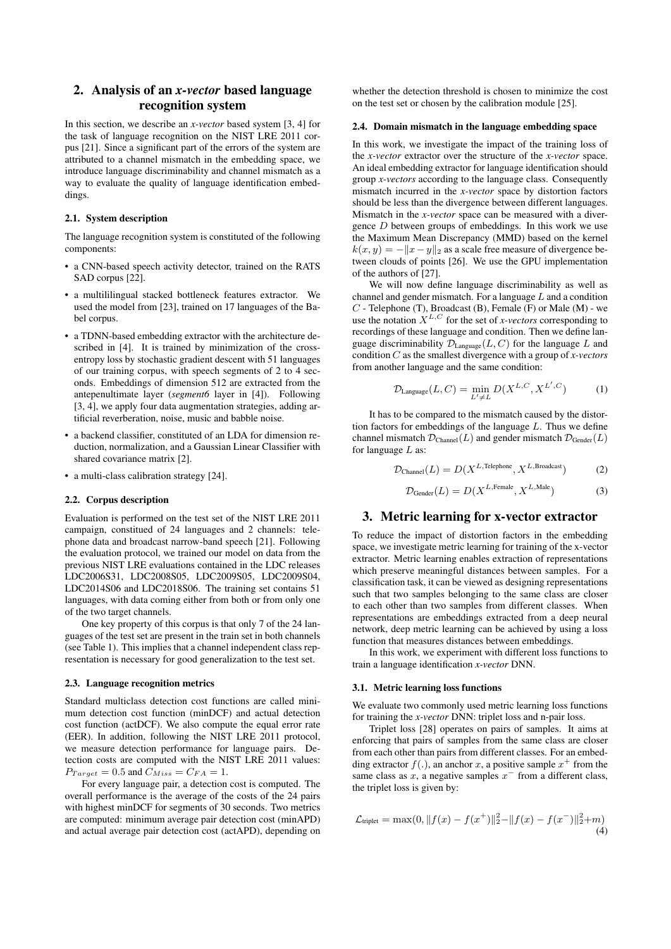## 2. Analysis of an *x-vector* based language recognition system

In this section, we describe an *x-vector* based system [3, 4] for the task of language recognition on the NIST LRE 2011 corpus [21]. Since a significant part of the errors of the system are attributed to a channel mismatch in the embedding space, we introduce language discriminability and channel mismatch as a way to evaluate the quality of language identification embeddings.

## 2.1. System description

The language recognition system is constituted of the following components:

- a CNN-based speech activity detector, trained on the RATS SAD corpus [22].
- a multililingual stacked bottleneck features extractor. We used the model from [23], trained on 17 languages of the Babel corpus.
- a TDNN-based embedding extractor with the architecture described in [4]. It is trained by minimization of the crossentropy loss by stochastic gradient descent with 51 languages of our training corpus, with speech segments of 2 to 4 seconds. Embeddings of dimension 512 are extracted from the antepenultimate layer (*segment6* layer in [4]). Following [3, 4], we apply four data augmentation strategies, adding artificial reverberation, noise, music and babble noise.
- a backend classifier, constituted of an LDA for dimension reduction, normalization, and a Gaussian Linear Classifier with shared covariance matrix [2].
- a multi-class calibration strategy [24].

### 2.2. Corpus description

Evaluation is performed on the test set of the NIST LRE 2011 campaign, constitued of 24 languages and 2 channels: telephone data and broadcast narrow-band speech [21]. Following the evaluation protocol, we trained our model on data from the previous NIST LRE evaluations contained in the LDC releases LDC2006S31, LDC2008S05, LDC2009S05, LDC2009S04, LDC2014S06 and LDC2018S06. The training set contains 51 languages, with data coming either from both or from only one of the two target channels.

One key property of this corpus is that only 7 of the 24 languages of the test set are present in the train set in both channels (see Table 1). This implies that a channel independent class representation is necessary for good generalization to the test set.

### 2.3. Language recognition metrics

Standard multiclass detection cost functions are called minimum detection cost function (minDCF) and actual detection cost function (actDCF). We also compute the equal error rate (EER). In addition, following the NIST LRE 2011 protocol, we measure detection performance for language pairs. Detection costs are computed with the NIST LRE 2011 values:  $P_{Target} = 0.5$  and  $C_{Miss} = C_{FA} = 1$ .

For every language pair, a detection cost is computed. The overall performance is the average of the costs of the 24 pairs with highest minDCF for segments of 30 seconds. Two metrics are computed: minimum average pair detection cost (minAPD) and actual average pair detection cost (actAPD), depending on

whether the detection threshold is chosen to minimize the cost on the test set or chosen by the calibration module [25].

#### 2.4. Domain mismatch in the language embedding space

In this work, we investigate the impact of the training loss of the *x-vector* extractor over the structure of the *x-vector* space. An ideal embedding extractor for language identification should group *x-vectors* according to the language class. Consequently mismatch incurred in the *x-vector* space by distortion factors should be less than the divergence between different languages. Mismatch in the *x-vector* space can be measured with a divergence  $D$  between groups of embeddings. In this work we use the Maximum Mean Discrepancy (MMD) based on the kernel  $k(x, y) = -||x-y||_2$  as a scale free measure of divergence between clouds of points [26]. We use the GPU implementation of the authors of [27].

We will now define language discriminability as well as channel and gender mismatch. For a language  $L$  and a condition  $C$  - Telephone (T), Broadcast (B), Female (F) or Male (M) - we use the notation  $X^{L,C}$  for the set of *x-vectors* corresponding to recordings of these language and condition. Then we define language discriminability  $\mathcal{D}_{\text{Language}}(L, C)$  for the language L and condition C as the smallest divergence with a group of *x-vectors* from another language and the same condition:

$$
\mathcal{D}_{\text{Language}}(L, C) = \min_{L' \neq L} D(X^{L, C}, X^{L', C}) \tag{1}
$$

It has to be compared to the mismatch caused by the distortion factors for embeddings of the language  $L$ . Thus we define channel mismatch  $\mathcal{D}_{\text{Channel}}(L)$  and gender mismatch  $\mathcal{D}_{\text{Gender}}(L)$ for language  $L$  as:

$$
\mathcal{D}_{\text{Channel}}(L) = D(X^{L,\text{Telephone}}, X^{L,\text{Broadcast}})
$$
 (2)

$$
\mathcal{D}_{\text{Gender}}(L) = D(X^{L,\text{Female}}, X^{L,\text{Male}})
$$
\n(3)

## 3. Metric learning for x-vector extractor

To reduce the impact of distortion factors in the embedding space, we investigate metric learning for training of the x-vector extractor. Metric learning enables extraction of representations which preserve meaningful distances between samples. For a classification task, it can be viewed as designing representations such that two samples belonging to the same class are closer to each other than two samples from different classes. When representations are embeddings extracted from a deep neural network, deep metric learning can be achieved by using a loss function that measures distances between embeddings.

In this work, we experiment with different loss functions to train a language identification *x-vector* DNN.

#### 3.1. Metric learning loss functions

We evaluate two commonly used metric learning loss functions for training the *x-vector* DNN: triplet loss and n-pair loss.

Triplet loss [28] operates on pairs of samples. It aims at enforcing that pairs of samples from the same class are closer from each other than pairs from different classes. For an embedding extractor  $f(.)$ , an anchor x, a positive sample  $x^+$  from the same class as  $x$ , a negative samples  $x^-$  from a different class, the triplet loss is given by:

$$
\mathcal{L}_{\text{triplet}} = \max(0, \|f(x) - f(x^+)\|_2^2 - \|f(x) - f(x^-)\|_2^2 + m)
$$
\n(4)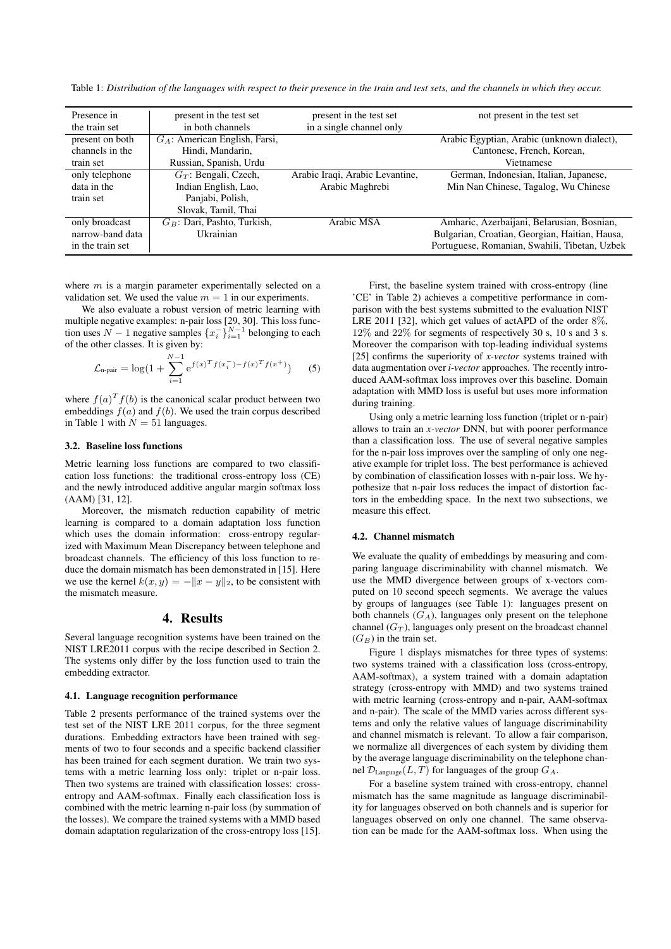Table 1: *Distribution of the languages with respect to their presence in the train and test sets, and the channels in which they occur.*

| Presence in      | present in the test set          | present in the test set         | not present in the test set                    |
|------------------|----------------------------------|---------------------------------|------------------------------------------------|
| the train set    | in both channels                 | in a single channel only        |                                                |
| present on both  | $G_A$ : American English, Farsi, |                                 | Arabic Egyptian, Arabic (unknown dialect),     |
| channels in the  | Hindi, Mandarin,                 |                                 | Cantonese, French, Korean,                     |
| train set        | Russian, Spanish, Urdu           |                                 | Vietnamese                                     |
| only telephone   | $G_T$ : Bengali, Czech,          | Arabic Iraqi, Arabic Levantine, | German, Indonesian, Italian, Japanese,         |
| data in the      | Indian English, Lao,             | Arabic Maghrebi                 | Min Nan Chinese, Tagalog, Wu Chinese           |
| train set        | Panjabi, Polish,                 |                                 |                                                |
|                  | Slovak, Tamil, Thai              |                                 |                                                |
| only broadcast   | $G_B$ : Dari, Pashto, Turkish,   | Arabic MSA                      | Amharic, Azerbaijani, Belarusian, Bosnian,     |
| narrow-band data | Ukrainian                        |                                 | Bulgarian, Croatian, Georgian, Haitian, Hausa, |
| in the train set |                                  |                                 | Portuguese, Romanian, Swahili, Tibetan, Uzbek  |

where  $m$  is a margin parameter experimentally selected on a validation set. We used the value  $m = 1$  in our experiments.

We also evaluate a robust version of metric learning with multiple negative examples: n-pair loss [29, 30]. This loss function uses  $N-1$  negative samples  $\{x_i^-\}_{i=1}^{N-1}$  belonging to each of the other classes. It is given by:

$$
\mathcal{L}_{\text{n-pair}} = \log(1 + \sum_{i=1}^{N-1} e^{f(x)^T f(x_i^-) - f(x)^T f(x^+)}) \tag{5}
$$

where  $f(a)^T f(b)$  is the canonical scalar product between two embeddings  $f(a)$  and  $f(b)$ . We used the train corpus described in Table 1 with  $N = 51$  languages.

#### 3.2. Baseline loss functions

Metric learning loss functions are compared to two classification loss functions: the traditional cross-entropy loss (CE) and the newly introduced additive angular margin softmax loss (AAM) [31, 12].

Moreover, the mismatch reduction capability of metric learning is compared to a domain adaptation loss function which uses the domain information: cross-entropy regularized with Maximum Mean Discrepancy between telephone and broadcast channels. The efficiency of this loss function to reduce the domain mismatch has been demonstrated in [15]. Here we use the kernel  $k(x, y) = -||x - y||_2$ , to be consistent with the mismatch measure.

## 4. Results

Several language recognition systems have been trained on the NIST LRE2011 corpus with the recipe described in Section 2. The systems only differ by the loss function used to train the embedding extractor.

#### 4.1. Language recognition performance

Table 2 presents performance of the trained systems over the test set of the NIST LRE 2011 corpus, for the three segment durations. Embedding extractors have been trained with segments of two to four seconds and a specific backend classifier has been trained for each segment duration. We train two systems with a metric learning loss only: triplet or n-pair loss. Then two systems are trained with classification losses: crossentropy and AAM-softmax. Finally each classification loss is combined with the metric learning n-pair loss (by summation of the losses). We compare the trained systems with a MMD based domain adaptation regularization of the cross-entropy loss [15].

First, the baseline system trained with cross-entropy (line 'CE' in Table 2) achieves a competitive performance in comparison with the best systems submitted to the evaluation NIST LRE 2011 [32], which get values of actAPD of the order 8%, 12% and 22% for segments of respectively 30 s, 10 s and 3 s. Moreover the comparison with top-leading individual systems [25] confirms the superiority of *x-vector* systems trained with data augmentation over *i-vector* approaches. The recently introduced AAM-softmax loss improves over this baseline. Domain adaptation with MMD loss is useful but uses more information during training.

Using only a metric learning loss function (triplet or n-pair) allows to train an *x-vector* DNN, but with poorer performance than a classification loss. The use of several negative samples for the n-pair loss improves over the sampling of only one negative example for triplet loss. The best performance is achieved by combination of classification losses with n-pair loss. We hypothesize that n-pair loss reduces the impact of distortion factors in the embedding space. In the next two subsections, we measure this effect.

#### 4.2. Channel mismatch

We evaluate the quality of embeddings by measuring and comparing language discriminability with channel mismatch. We use the MMD divergence between groups of x-vectors computed on 10 second speech segments. We average the values by groups of languages (see Table 1): languages present on both channels  $(G_A)$ , languages only present on the telephone channel  $(G_T)$ , languages only present on the broadcast channel  $(G_B)$  in the train set.

Figure 1 displays mismatches for three types of systems: two systems trained with a classification loss (cross-entropy, AAM-softmax), a system trained with a domain adaptation strategy (cross-entropy with MMD) and two systems trained with metric learning (cross-entropy and n-pair, AAM-softmax and n-pair). The scale of the MMD varies across different systems and only the relative values of language discriminability and channel mismatch is relevant. To allow a fair comparison, we normalize all divergences of each system by dividing them by the average language discriminability on the telephone channel  $\mathcal{D}_{\text{Language}}(L, T)$  for languages of the group  $G_A$ .

For a baseline system trained with cross-entropy, channel mismatch has the same magnitude as language discriminability for languages observed on both channels and is superior for languages observed on only one channel. The same observation can be made for the AAM-softmax loss. When using the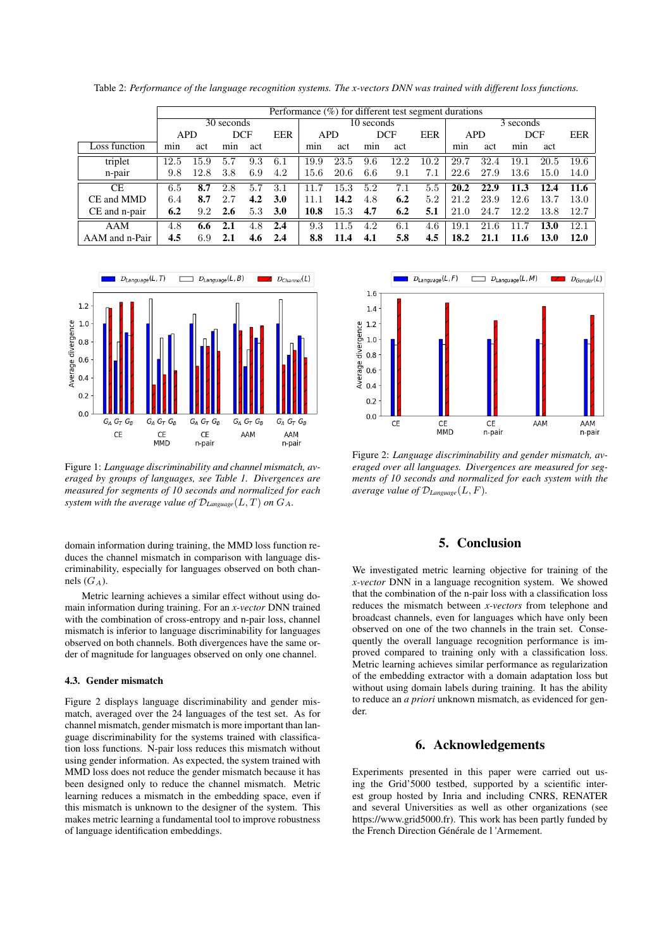|                | Performance $(\%)$ for different test segment durations |      |     |                   |            |            |      |            |      |           |            |         |            |      |      |
|----------------|---------------------------------------------------------|------|-----|-------------------|------------|------------|------|------------|------|-----------|------------|---------|------------|------|------|
|                | 30 seconds                                              |      |     |                   |            | 10 seconds |      |            |      | 3 seconds |            |         |            |      |      |
|                | <b>APD</b>                                              |      |     | EER<br><b>DCF</b> |            | <b>APD</b> |      | <b>DCF</b> |      | EER       | <b>APD</b> |         | <b>DCF</b> |      | EER  |
| Loss function  | mın                                                     | act  | min | act               |            | min        | act  | min        | act  |           | min        | act     | min        | act  |      |
| triplet        | 12.5                                                    | 15.9 | 5.7 | 9.3               | 6.1        | 19.9       | 23.5 | 9.6        | 12.2 | 10.2      | 29.7       | 32.4    | 19.1       | 20.5 | 19.6 |
| n-pair         | 9.8                                                     | 12.8 | 3.8 | 6.9               | 4.2        | 15.6       | 20.6 | 6.6        | 9.1  | 7.1       | 22.6       | 27.9    | 13.6       | 15.0 | 14.0 |
| <b>CE</b>      | 6.5                                                     | 8.7  | 2.8 | 5.7               | 3.1        | 11.7       | 15.3 | 5.2        | 7.1  | 5.5       | 20.2       | 22.9    | 11.3       | 12.4 | 11.6 |
| CE and MMD     | 6.4                                                     | 8.7  | 2.7 | 4.2               | 3.0        | 11.1       | 14.2 | 4.8        | 6.2  | 5.2       | 21.2       | 23.9    | 12.6       | 13.7 | 13.0 |
| CE and n-pair  | 6.2                                                     | 9.2  | 2.6 | 5.3               | <b>3.0</b> | 10.8       | 15.3 | 4.7        | 6.2  | 5.1       | 21.0       | 24.7    | 12.2       | 13.8 | 12.7 |
| AAM            | 4.8                                                     | 6.6  | 2.1 | 4.8               | 2.4        | 9.3        | 11.5 | 4.2        | 6.1  | 4.6       | 19.1       | 21<br>6 | 117        | 13.0 | 12.1 |
| AAM and n-Pair | 4.5                                                     | 6.9  | 2.1 | 4.6               | 2.4        | 8.8        | 11.4 | 4.1        | 5.8  | 4.5       | 18.2       | 21.1    | 11.6       | 13.0 | 12.0 |

Table 2: *Performance of the language recognition systems. The x-vectors DNN was trained with different loss functions.*



Figure 1: *Language discriminability and channel mismatch, averaged by groups of languages, see Table 1. Divergences are measured for segments of 10 seconds and normalized for each system with the average value of*  $\mathcal{D}_{\text{Lanquare}}(L, T)$  *on*  $G_A$ *.* 

domain information during training, the MMD loss function reduces the channel mismatch in comparison with language discriminability, especially for languages observed on both channels  $(G_A)$ .

Metric learning achieves a similar effect without using domain information during training. For an *x-vector* DNN trained with the combination of cross-entropy and n-pair loss, channel mismatch is inferior to language discriminability for languages observed on both channels. Both divergences have the same order of magnitude for languages observed on only one channel.

#### 4.3. Gender mismatch

Figure 2 displays language discriminability and gender mismatch, averaged over the 24 languages of the test set. As for channel mismatch, gender mismatch is more important than language discriminability for the systems trained with classification loss functions. N-pair loss reduces this mismatch without using gender information. As expected, the system trained with MMD loss does not reduce the gender mismatch because it has been designed only to reduce the channel mismatch. Metric learning reduces a mismatch in the embedding space, even if this mismatch is unknown to the designer of the system. This makes metric learning a fundamental tool to improve robustness of language identification embeddings.



Figure 2: *Language discriminability and gender mismatch, averaged over all languages. Divergences are measured for segments of 10 seconds and normalized for each system with the average value of* D*Language*(L, F)*.*

## 5. Conclusion

We investigated metric learning objective for training of the *x-vector* DNN in a language recognition system. We showed that the combination of the n-pair loss with a classification loss reduces the mismatch between *x-vectors* from telephone and broadcast channels, even for languages which have only been observed on one of the two channels in the train set. Consequently the overall language recognition performance is improved compared to training only with a classification loss. Metric learning achieves similar performance as regularization of the embedding extractor with a domain adaptation loss but without using domain labels during training. It has the ability to reduce an *a priori* unknown mismatch, as evidenced for gender.

## 6. Acknowledgements

Experiments presented in this paper were carried out using the Grid'5000 testbed, supported by a scientific interest group hosted by Inria and including CNRS, RENATER and several Universities as well as other organizations (see https://www.grid5000.fr). This work has been partly funded by the French Direction Générale de l'Armement.